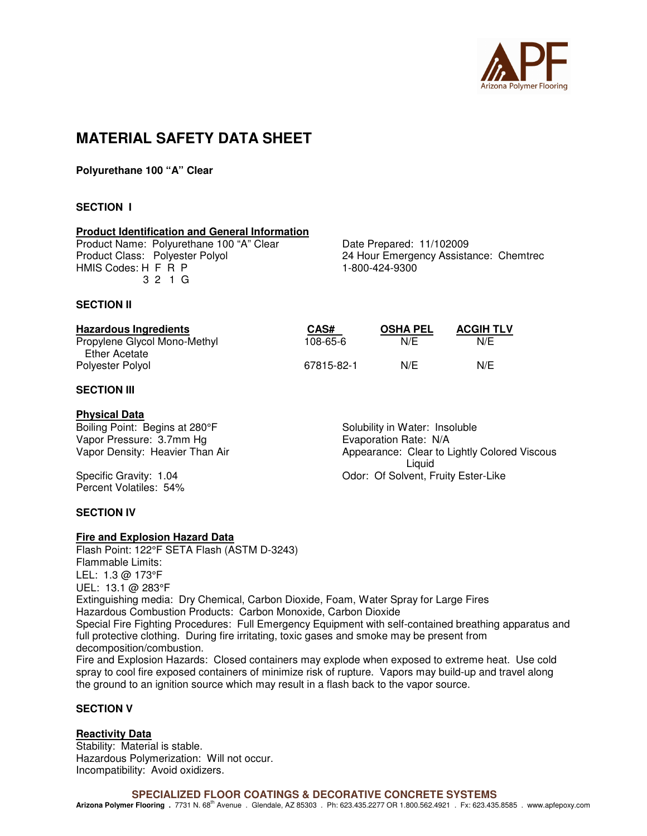

# **MATERIAL SAFETY DATA SHEET**

**Polyurethane 100 "A" Clear** 

# **SECTION I**

# **Product Identification and General Information**

Product Name: Polyurethane 100 "A" Clear Date Prepared: 11/102009<br>Product Class: Polyester Polyol 24 Hour Emergency Assista HMIS Codes: H F R P 1-800-424-9300 3 2 1 G

24 Hour Emergency Assistance: Chemtrec

## **SECTION II**

| <b>Hazardous Ingredients</b> | CAS#       | <b>OSHA PEL</b> | <b>ACGIH TLV</b> |
|------------------------------|------------|-----------------|------------------|
| Propylene Glycol Mono-Methyl | 108-65-6   | N/E             | N/F              |
| Ether Acetate                |            |                 |                  |
| Polyester Polyol             | 67815-82-1 | N/E             | N/E              |

# **SECTION III**

## **Physical Data**

Boiling Point: Begins at 280°F Solubility in Water: Insoluble Vapor Pressure: 3.7mm Hg<br>
Vapor Density: Heavier Than Air<br>
Vapor Density: Heavier Than Air<br>
Vapor Appearance: Clear to L

Percent Volatiles: 54%

Appearance: Clear to Lightly Colored Viscous<br>Liquid Liquid Specific Gravity: 1.04 **Odor: Of Solvent, Fruity Ester-Like** 

## **SECTION IV**

## **Fire and Explosion Hazard Data**

Flash Point: 122°F SETA Flash (ASTM D-3243) Flammable Limits: LEL: 1.3 @ 173°F UEL: 13.1 @ 283°F Extinguishing media: Dry Chemical, Carbon Dioxide, Foam, Water Spray for Large Fires Hazardous Combustion Products: Carbon Monoxide, Carbon Dioxide Special Fire Fighting Procedures: Full Emergency Equipment with self-contained breathing apparatus and full protective clothing. During fire irritating, toxic gases and smoke may be present from decomposition/combustion. Fire and Explosion Hazards: Closed containers may explode when exposed to extreme heat. Use cold spray to cool fire exposed containers of minimize risk of rupture. Vapors may build-up and travel along the ground to an ignition source which may result in a flash back to the vapor source.

# **SECTION V**

## **Reactivity Data**

Stability: Material is stable. Hazardous Polymerization: Will not occur. Incompatibility: Avoid oxidizers.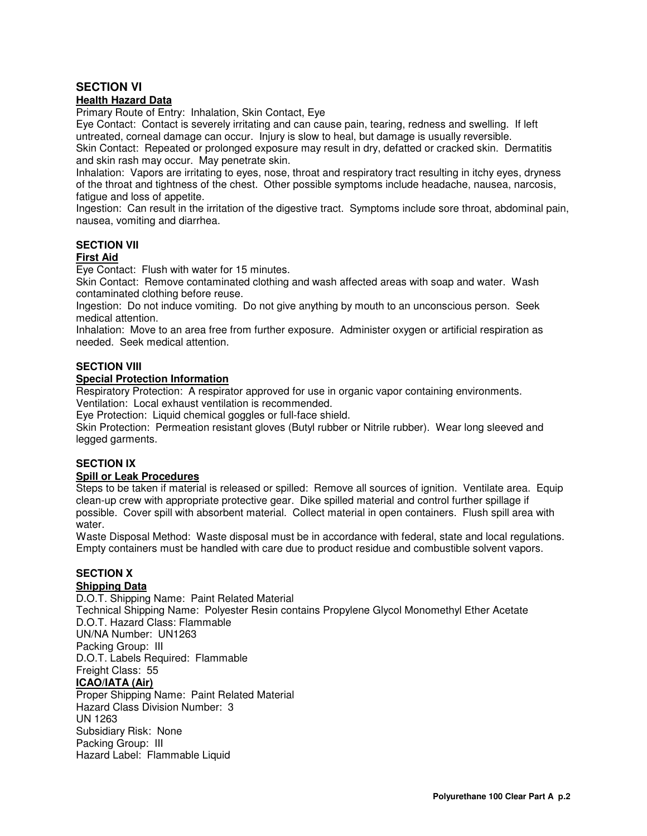# **SECTION VI**

# **Health Hazard Data**

Primary Route of Entry: Inhalation, Skin Contact, Eye

Eye Contact: Contact is severely irritating and can cause pain, tearing, redness and swelling. If left untreated, corneal damage can occur. Injury is slow to heal, but damage is usually reversible. Skin Contact: Repeated or prolonged exposure may result in dry, defatted or cracked skin. Dermatitis and skin rash may occur. May penetrate skin.

Inhalation: Vapors are irritating to eyes, nose, throat and respiratory tract resulting in itchy eyes, dryness of the throat and tightness of the chest. Other possible symptoms include headache, nausea, narcosis, fatigue and loss of appetite.

Ingestion: Can result in the irritation of the digestive tract. Symptoms include sore throat, abdominal pain, nausea, vomiting and diarrhea.

# **SECTION VII**

## **First Aid**

Eye Contact: Flush with water for 15 minutes.

Skin Contact: Remove contaminated clothing and wash affected areas with soap and water. Wash contaminated clothing before reuse.

Ingestion: Do not induce vomiting. Do not give anything by mouth to an unconscious person. Seek medical attention.

Inhalation: Move to an area free from further exposure. Administer oxygen or artificial respiration as needed. Seek medical attention.

# **SECTION VIII**

## **Special Protection Information**

Respiratory Protection: A respirator approved for use in organic vapor containing environments. Ventilation: Local exhaust ventilation is recommended.

Eye Protection: Liquid chemical goggles or full-face shield.

Skin Protection: Permeation resistant gloves (Butyl rubber or Nitrile rubber). Wear long sleeved and legged garments.

## **SECTION IX**

## **Spill or Leak Procedures**

Steps to be taken if material is released or spilled: Remove all sources of ignition. Ventilate area. Equip clean-up crew with appropriate protective gear. Dike spilled material and control further spillage if possible. Cover spill with absorbent material. Collect material in open containers. Flush spill area with water.

Waste Disposal Method: Waste disposal must be in accordance with federal, state and local regulations. Empty containers must be handled with care due to product residue and combustible solvent vapors.

# **SECTION X**

# **Shipping Data**

Packing Group: III

Hazard Label: Flammable Liquid

D.O.T. Shipping Name: Paint Related Material Technical Shipping Name: Polyester Resin contains Propylene Glycol Monomethyl Ether Acetate D.O.T. Hazard Class: Flammable UN/NA Number: UN1263 Packing Group: III D.O.T. Labels Required: Flammable Freight Class: 55 **ICAO/IATA (Air)** Proper Shipping Name: Paint Related Material Hazard Class Division Number: 3 UN 1263 Subsidiary Risk: None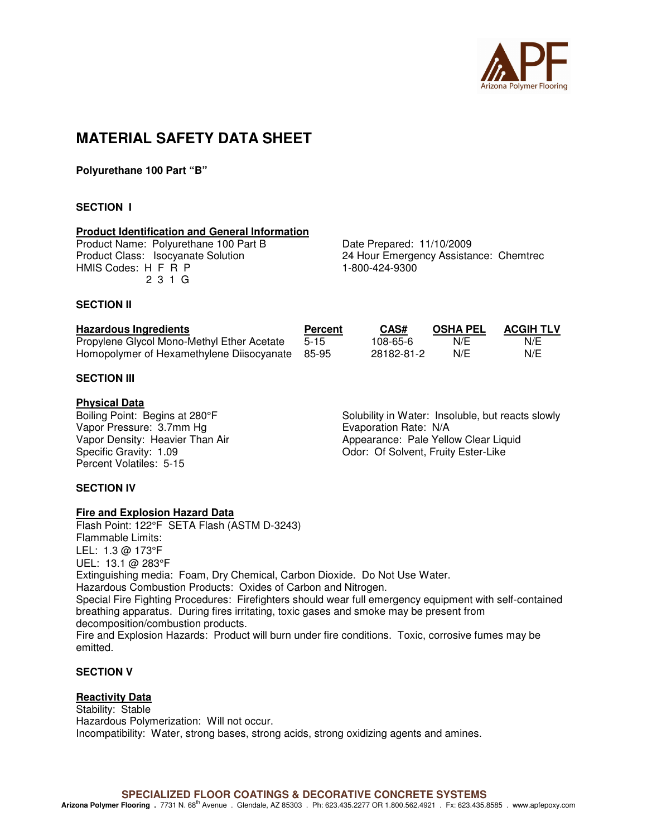

# **MATERIAL SAFETY DATA SHEET**

**Polyurethane 100 Part "B"** 

# **SECTION I**

## **Product Identification and General Information**

Product Name: Polyurethane 100 Part B<br>
Product Class: Isocyanate Solution<br>
24 Hour Emergency Assistal HMIS Codes: H F R P 1-800-424-9300 2 3 1 G

24 Hour Emergency Assistance: Chemtrec

#### **SECTION II**

| <b>Hazardous Ingredients</b>                    | <b>Percent</b> | CAS#       | <b>OSHA PEL</b> | <b>ACGIH TLV</b> |
|-------------------------------------------------|----------------|------------|-----------------|------------------|
| Propylene Glycol Mono-Methyl Ether Acetate      | $5-15$         | 108-65-6   | N/E             | N/E              |
| Homopolymer of Hexamethylene Diisocyanate 85-95 |                | 28182-81-2 | N/E             | N/E              |

## **SECTION III**

#### **Physical Data**

Vapor Pressure: 3.7mm Hg<br>
Vapor Density: Heavier Than Air **Example 2.1 September 2.1 Appearance: Pale Yello** Percent Volatiles: 5-15

Boiling Point: Begins at 280°F Solubility in Water: Insoluble, but reacts slowly Vapor Density: Heavier Than Air Appearance: Pale Yellow Clear Liquid Odor: Of Solvent, Fruity Ester-Like

## **SECTION IV**

## **Fire and Explosion Hazard Data**

Flash Point: 122°F SETA Flash (ASTM D-3243) Flammable Limits: LEL: 1.3 @ 173°F UEL: 13.1 @ 283°F Extinguishing media: Foam, Dry Chemical, Carbon Dioxide. Do Not Use Water. Hazardous Combustion Products: Oxides of Carbon and Nitrogen. Special Fire Fighting Procedures: Firefighters should wear full emergency equipment with self-contained breathing apparatus. During fires irritating, toxic gases and smoke may be present from decomposition/combustion products. Fire and Explosion Hazards: Product will burn under fire conditions. Toxic, corrosive fumes may be emitted.

# **SECTION V**

# **Reactivity Data**

Stability: Stable Hazardous Polymerization: Will not occur. Incompatibility: Water, strong bases, strong acids, strong oxidizing agents and amines.